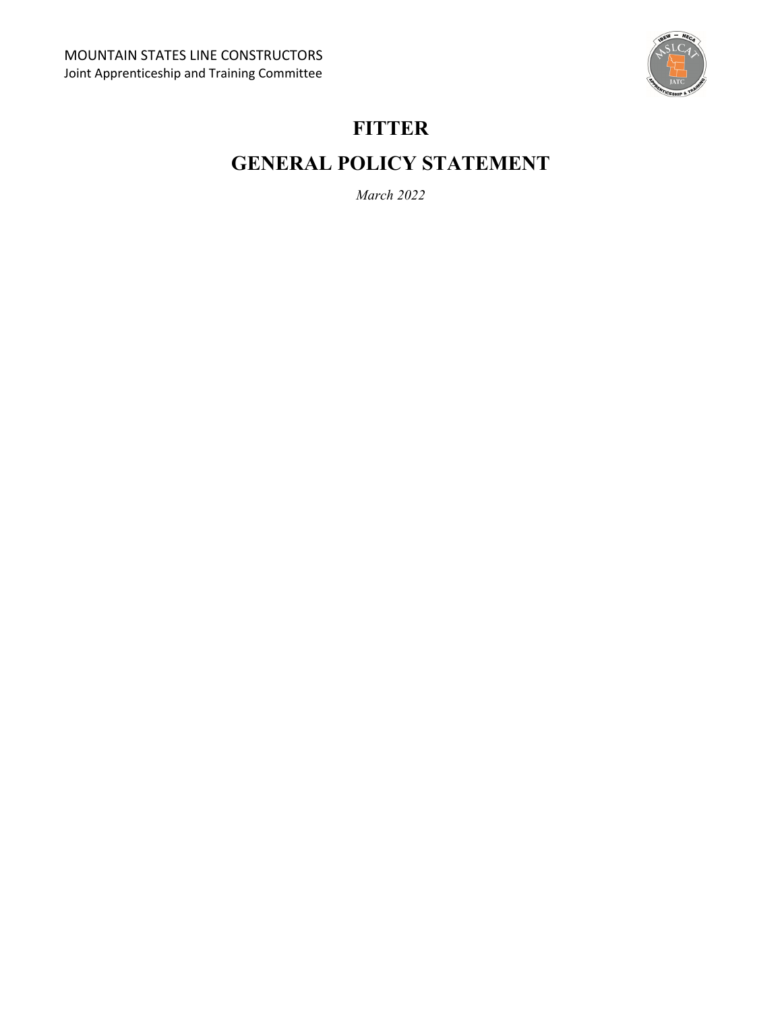

# **FITTER**

# **GENERAL POLICY STATEMENT**

*March 2022*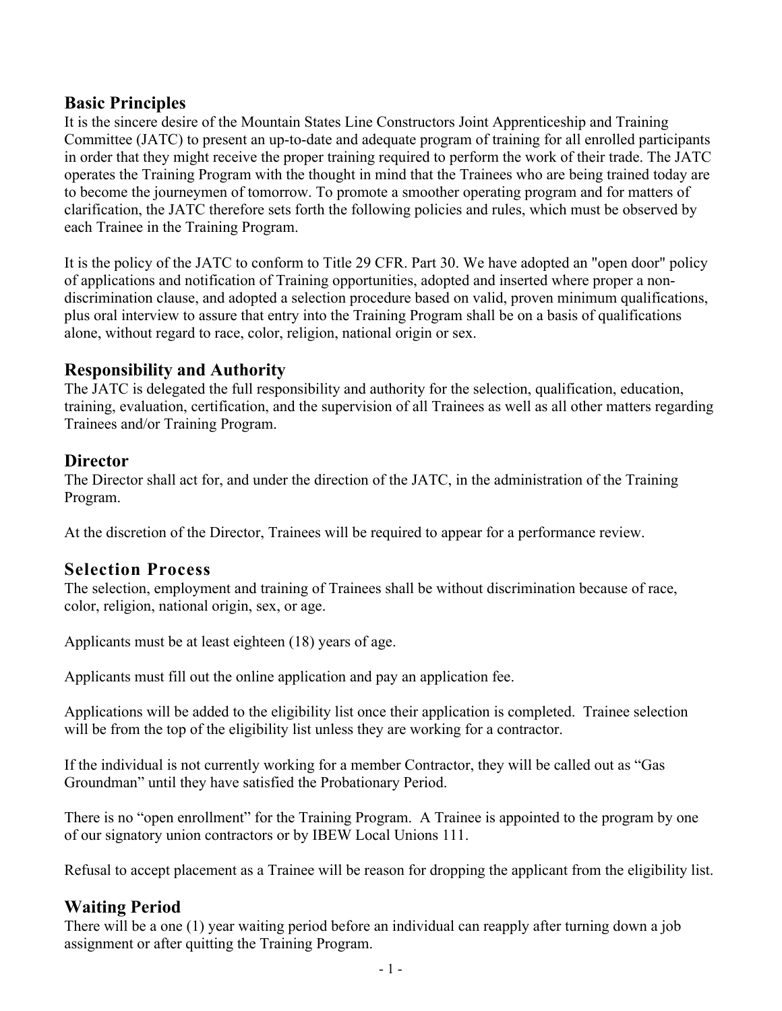#### **Basic Principles**

It is the sincere desire of the Mountain States Line Constructors Joint Apprenticeship and Training Committee (JATC) to present an up-to-date and adequate program of training for all enrolled participants in order that they might receive the proper training required to perform the work of their trade. The JATC operates the Training Program with the thought in mind that the Trainees who are being trained today are to become the journeymen of tomorrow. To promote a smoother operating program and for matters of clarification, the JATC therefore sets forth the following policies and rules, which must be observed by each Trainee in the Training Program.

It is the policy of the JATC to conform to Title 29 CFR. Part 30. We have adopted an "open door" policy of applications and notification of Training opportunities, adopted and inserted where proper a nondiscrimination clause, and adopted a selection procedure based on valid, proven minimum qualifications, plus oral interview to assure that entry into the Training Program shall be on a basis of qualifications alone, without regard to race, color, religion, national origin or sex.

#### **Responsibility and Authority**

The JATC is delegated the full responsibility and authority for the selection, qualification, education, training, evaluation, certification, and the supervision of all Trainees as well as all other matters regarding Trainees and/or Training Program.

#### **Director**

The Director shall act for, and under the direction of the JATC, in the administration of the Training Program.

At the discretion of the Director, Trainees will be required to appear for a performance review.

# **Selection Process**

The selection, employment and training of Trainees shall be without discrimination because of race, color, religion, national origin, sex, or age.

Applicants must be at least eighteen (18) years of age.

Applicants must fill out the online application and pay an application fee.

Applications will be added to the eligibility list once their application is completed. Trainee selection will be from the top of the eligibility list unless they are working for a contractor.

If the individual is not currently working for a member Contractor, they will be called out as "Gas Groundman" until they have satisfied the Probationary Period.

There is no "open enrollment" for the Training Program. A Trainee is appointed to the program by one of our signatory union contractors or by IBEW Local Unions 111.

Refusal to accept placement as a Trainee will be reason for dropping the applicant from the eligibility list.

# **Waiting Period**

There will be a one (1) year waiting period before an individual can reapply after turning down a job assignment or after quitting the Training Program.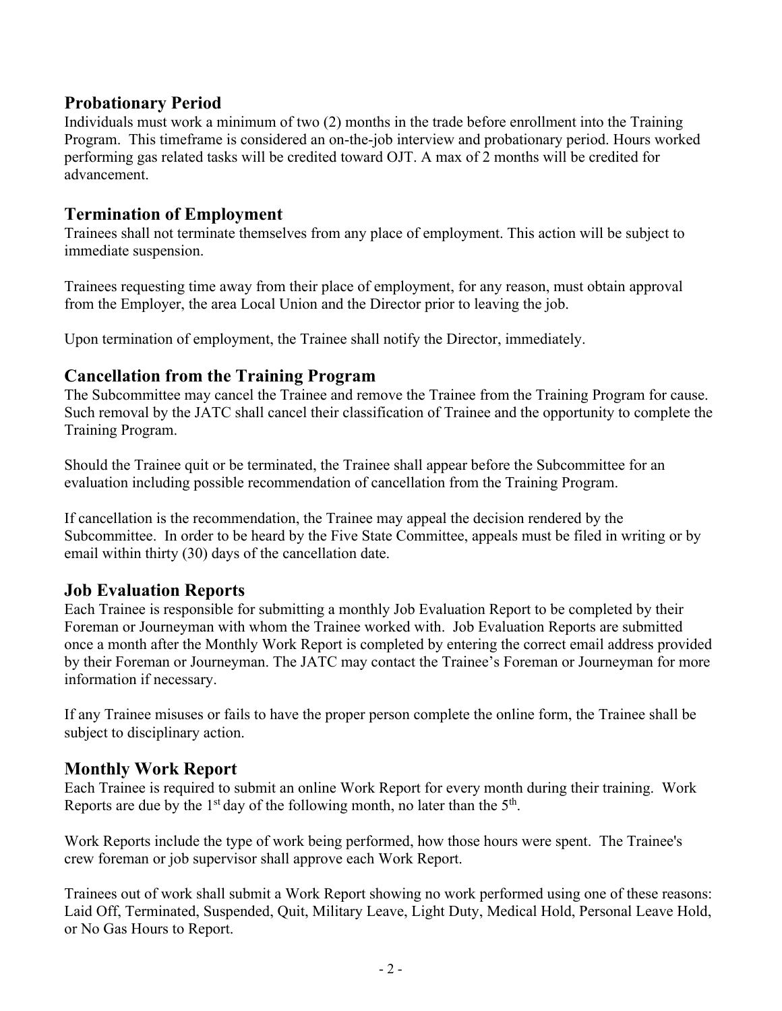#### **Probationary Period**

Individuals must work a minimum of two (2) months in the trade before enrollment into the Training Program. This timeframe is considered an on-the-job interview and probationary period. Hours worked performing gas related tasks will be credited toward OJT. A max of 2 months will be credited for advancement.

#### **Termination of Employment**

Trainees shall not terminate themselves from any place of employment. This action will be subject to immediate suspension.

Trainees requesting time away from their place of employment, for any reason, must obtain approval from the Employer, the area Local Union and the Director prior to leaving the job.

Upon termination of employment, the Trainee shall notify the Director, immediately.

#### **Cancellation from the Training Program**

The Subcommittee may cancel the Trainee and remove the Trainee from the Training Program for cause. Such removal by the JATC shall cancel their classification of Trainee and the opportunity to complete the Training Program.

Should the Trainee quit or be terminated, the Trainee shall appear before the Subcommittee for an evaluation including possible recommendation of cancellation from the Training Program.

If cancellation is the recommendation, the Trainee may appeal the decision rendered by the Subcommittee. In order to be heard by the Five State Committee, appeals must be filed in writing or by email within thirty (30) days of the cancellation date.

#### **Job Evaluation Reports**

Each Trainee is responsible for submitting a monthly Job Evaluation Report to be completed by their Foreman or Journeyman with whom the Trainee worked with. Job Evaluation Reports are submitted once a month after the Monthly Work Report is completed by entering the correct email address provided by their Foreman or Journeyman. The JATC may contact the Trainee's Foreman or Journeyman for more information if necessary.

If any Trainee misuses or fails to have the proper person complete the online form, the Trainee shall be subject to disciplinary action.

# **Monthly Work Report**

Each Trainee is required to submit an online Work Report for every month during their training. Work Reports are due by the 1<sup>st</sup> day of the following month, no later than the  $5<sup>th</sup>$ .

Work Reports include the type of work being performed, how those hours were spent. The Trainee's crew foreman or job supervisor shall approve each Work Report.

Trainees out of work shall submit a Work Report showing no work performed using one of these reasons: Laid Off, Terminated, Suspended, Quit, Military Leave, Light Duty, Medical Hold, Personal Leave Hold, or No Gas Hours to Report.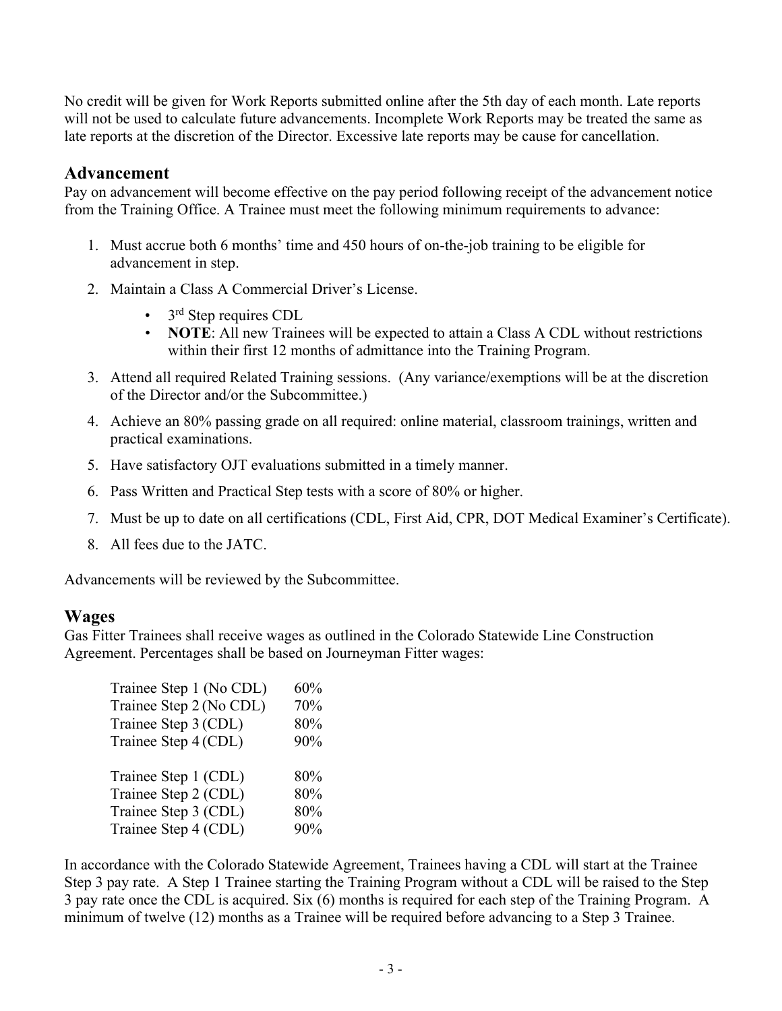No credit will be given for Work Reports submitted online after the 5th day of each month. Late reports will not be used to calculate future advancements. Incomplete Work Reports may be treated the same as late reports at the discretion of the Director. Excessive late reports may be cause for cancellation.

#### **Advancement**

Pay on advancement will become effective on the pay period following receipt of the advancement notice from the Training Office. A Trainee must meet the following minimum requirements to advance:

- 1. Must accrue both 6 months' time and 450 hours of on-the-job training to be eligible for advancement in step.
- 2. Maintain a Class A Commercial Driver's License.
	- $\cdot$  3<sup>rd</sup> Step requires CDL
	- **NOTE**: All new Trainees will be expected to attain a Class A CDL without restrictions within their first 12 months of admittance into the Training Program.
- 3. Attend all required Related Training sessions. (Any variance/exemptions will be at the discretion of the Director and/or the Subcommittee.)
- 4. Achieve an 80% passing grade on all required: online material, classroom trainings, written and practical examinations.
- 5. Have satisfactory OJT evaluations submitted in a timely manner.
- 6. Pass Written and Practical Step tests with a score of 80% or higher.
- 7. Must be up to date on all certifications (CDL, First Aid, CPR, DOT Medical Examiner's Certificate).
- 8. All fees due to the JATC.

Advancements will be reviewed by the Subcommittee.

#### **Wages**

Gas Fitter Trainees shall receive wages as outlined in the Colorado Statewide Line Construction Agreement. Percentages shall be based on Journeyman Fitter wages:

| Trainee Step 1 (No CDL) | 60% |
|-------------------------|-----|
| Trainee Step 2 (No CDL) | 70% |
| Trainee Step 3 (CDL)    | 80% |
| Trainee Step 4 (CDL)    | 90% |
|                         |     |
| Trainee Step 1 (CDL)    | 80% |
| Trainee Step 2 (CDL)    | 80% |
| Trainee Step 3 (CDL)    | 80% |
| Trainee Step 4 (CDL)    | 90% |

In accordance with the Colorado Statewide Agreement, Trainees having a CDL will start at the Trainee Step 3 pay rate. A Step 1 Trainee starting the Training Program without a CDL will be raised to the Step 3 pay rate once the CDL is acquired. Six (6) months is required for each step of the Training Program. A minimum of twelve (12) months as a Trainee will be required before advancing to a Step 3 Trainee.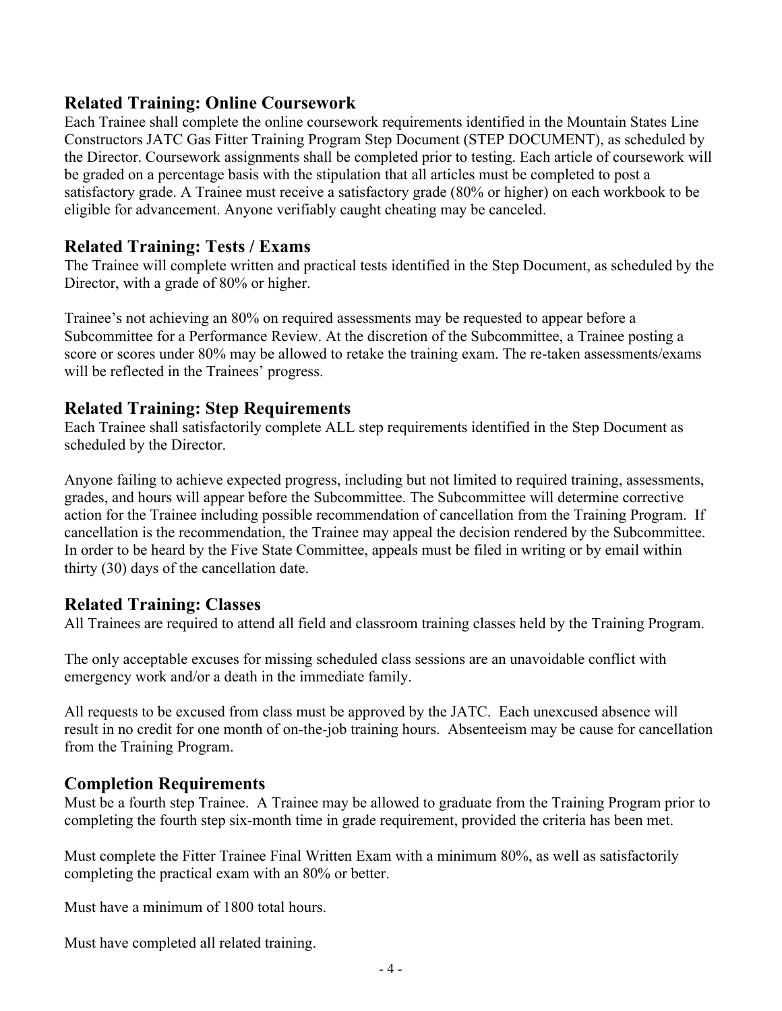#### **Related Training: Online Coursework**

Each Trainee shall complete the online coursework requirements identified in the Mountain States Line Constructors JATC Gas Fitter Training Program Step Document (STEP DOCUMENT), as scheduled by the Director. Coursework assignments shall be completed prior to testing. Each article of coursework will be graded on a percentage basis with the stipulation that all articles must be completed to post a satisfactory grade. A Trainee must receive a satisfactory grade (80% or higher) on each workbook to be eligible for advancement. Anyone verifiably caught cheating may be canceled.

# **Related Training: Tests / Exams**

The Trainee will complete written and practical tests identified in the Step Document, as scheduled by the Director, with a grade of 80% or higher.

Trainee's not achieving an 80% on required assessments may be requested to appear before a Subcommittee for a Performance Review. At the discretion of the Subcommittee, a Trainee posting a score or scores under 80% may be allowed to retake the training exam. The re-taken assessments/exams will be reflected in the Trainees' progress.

# **Related Training: Step Requirements**

Each Trainee shall satisfactorily complete ALL step requirements identified in the Step Document as scheduled by the Director.

Anyone failing to achieve expected progress, including but not limited to required training, assessments, grades, and hours will appear before the Subcommittee. The Subcommittee will determine corrective action for the Trainee including possible recommendation of cancellation from the Training Program. If cancellation is the recommendation, the Trainee may appeal the decision rendered by the Subcommittee. In order to be heard by the Five State Committee, appeals must be filed in writing or by email within thirty (30) days of the cancellation date.

# **Related Training: Classes**

All Trainees are required to attend all field and classroom training classes held by the Training Program.

The only acceptable excuses for missing scheduled class sessions are an unavoidable conflict with emergency work and/or a death in the immediate family.

All requests to be excused from class must be approved by the JATC. Each unexcused absence will result in no credit for one month of on-the-job training hours. Absenteeism may be cause for cancellation from the Training Program.

#### **Completion Requirements**

Must be a fourth step Trainee. A Trainee may be allowed to graduate from the Training Program prior to completing the fourth step six-month time in grade requirement, provided the criteria has been met.

Must complete the Fitter Trainee Final Written Exam with a minimum 80%, as well as satisfactorily completing the practical exam with an 80% or better.

Must have a minimum of 1800 total hours.

Must have completed all related training.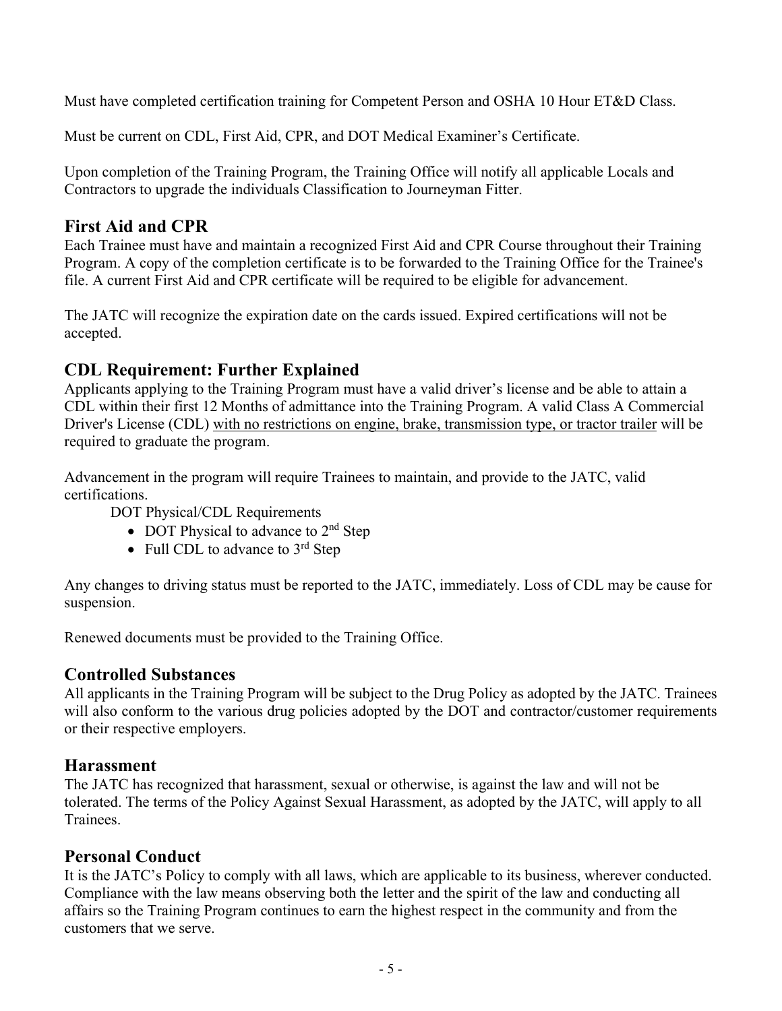Must have completed certification training for Competent Person and OSHA 10 Hour ET&D Class.

Must be current on CDL, First Aid, CPR, and DOT Medical Examiner's Certificate.

Upon completion of the Training Program, the Training Office will notify all applicable Locals and Contractors to upgrade the individuals Classification to Journeyman Fitter.

# **First Aid and CPR**

Each Trainee must have and maintain a recognized First Aid and CPR Course throughout their Training Program. A copy of the completion certificate is to be forwarded to the Training Office for the Trainee's file. A current First Aid and CPR certificate will be required to be eligible for advancement.

The JATC will recognize the expiration date on the cards issued. Expired certifications will not be accepted.

# **CDL Requirement: Further Explained**

Applicants applying to the Training Program must have a valid driver's license and be able to attain a CDL within their first 12 Months of admittance into the Training Program. A valid Class A Commercial Driver's License (CDL) with no restrictions on engine, brake, transmission type, or tractor trailer will be required to graduate the program.

Advancement in the program will require Trainees to maintain, and provide to the JATC, valid certifications.

DOT Physical/CDL Requirements

- DOT Physical to advance to  $2<sup>nd</sup>$  Step
- Full CDL to advance to  $3<sup>rd</sup>$  Step

Any changes to driving status must be reported to the JATC, immediately. Loss of CDL may be cause for suspension.

Renewed documents must be provided to the Training Office.

#### **Controlled Substances**

All applicants in the Training Program will be subject to the Drug Policy as adopted by the JATC. Trainees will also conform to the various drug policies adopted by the DOT and contractor/customer requirements or their respective employers.

#### **Harassment**

The JATC has recognized that harassment, sexual or otherwise, is against the law and will not be tolerated. The terms of the Policy Against Sexual Harassment, as adopted by the JATC, will apply to all Trainees.

#### **Personal Conduct**

It is the JATC's Policy to comply with all laws, which are applicable to its business, wherever conducted. Compliance with the law means observing both the letter and the spirit of the law and conducting all affairs so the Training Program continues to earn the highest respect in the community and from the customers that we serve.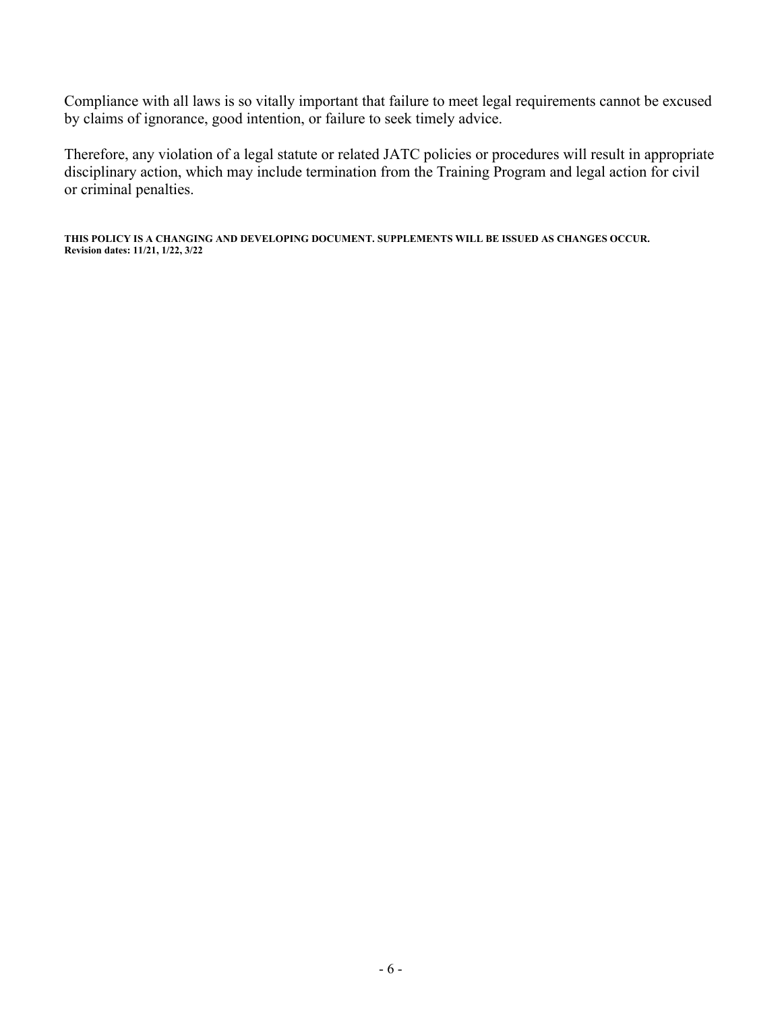Compliance with all laws is so vitally important that failure to meet legal requirements cannot be excused by claims of ignorance, good intention, or failure to seek timely advice.

Therefore, any violation of a legal statute or related JATC policies or procedures will result in appropriate disciplinary action, which may include termination from the Training Program and legal action for civil or criminal penalties.

**THIS POLICY IS A CHANGING AND DEVELOPING DOCUMENT. SUPPLEMENTS WILL BE ISSUED AS CHANGES OCCUR. Revision dates: 11/21, 1/22, 3/22**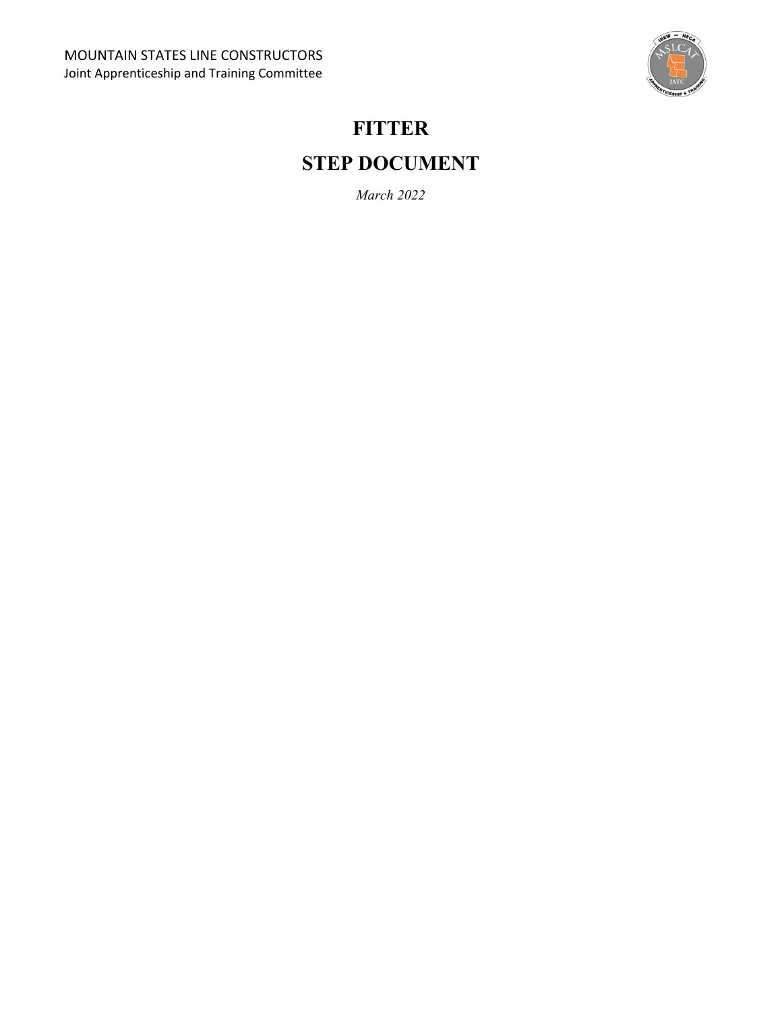

# **FITTER STEP DOCUMENT**

*March 2022*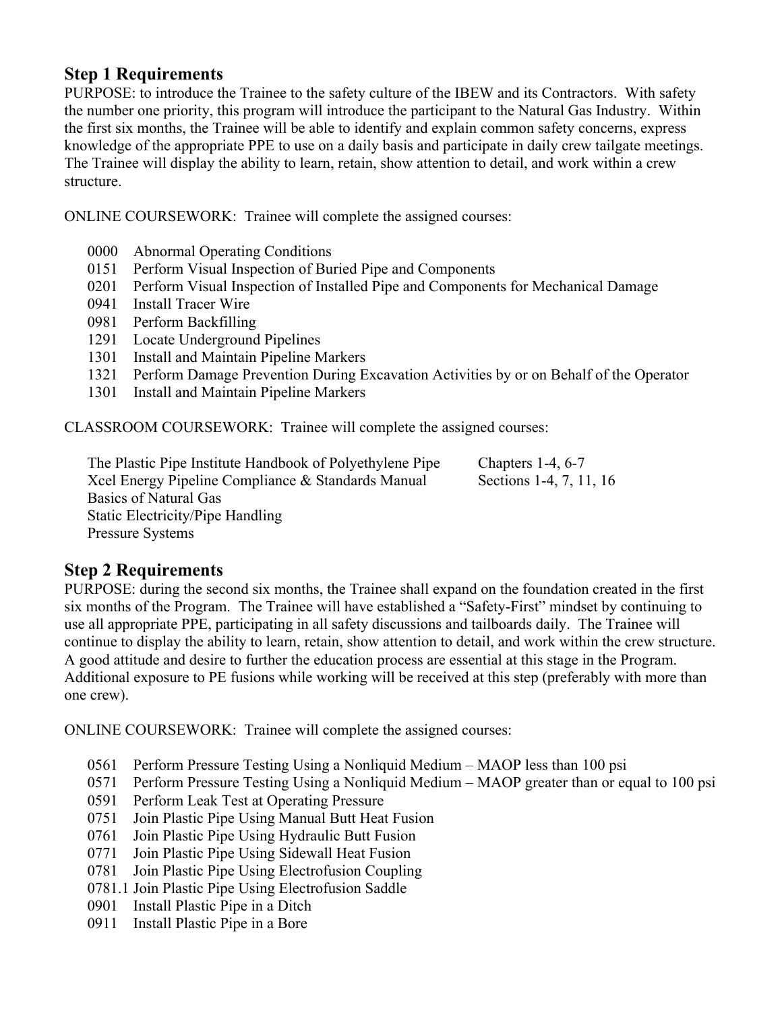# **Step 1 Requirements**

PURPOSE: to introduce the Trainee to the safety culture of the IBEW and its Contractors. With safety the number one priority, this program will introduce the participant to the Natural Gas Industry. Within the first six months, the Trainee will be able to identify and explain common safety concerns, express knowledge of the appropriate PPE to use on a daily basis and participate in daily crew tailgate meetings. The Trainee will display the ability to learn, retain, show attention to detail, and work within a crew structure.

ONLINE COURSEWORK: Trainee will complete the assigned courses:

- 0000 Abnormal Operating Conditions
- 0151 Perform Visual Inspection of Buried Pipe and Components
- 0201 Perform Visual Inspection of Installed Pipe and Components for Mechanical Damage
- 0941 Install Tracer Wire
- 0981 Perform Backfilling
- 1291 Locate Underground Pipelines
- 1301 Install and Maintain Pipeline Markers
- 1321 Perform Damage Prevention During Excavation Activities by or on Behalf of the Operator
- 1301 Install and Maintain Pipeline Markers

CLASSROOM COURSEWORK: Trainee will complete the assigned courses:

 The Plastic Pipe Institute Handbook of Polyethylene Pipe Chapters 1-4, 6-7 Xcel Energy Pipeline Compliance & Standards Manual Sections 1-4, 7, 11, 16 Basics of Natural Gas Static Electricity/Pipe Handling Pressure Systems

# **Step 2 Requirements**

PURPOSE: during the second six months, the Trainee shall expand on the foundation created in the first six months of the Program. The Trainee will have established a "Safety-First" mindset by continuing to use all appropriate PPE, participating in all safety discussions and tailboards daily. The Trainee will continue to display the ability to learn, retain, show attention to detail, and work within the crew structure. A good attitude and desire to further the education process are essential at this stage in the Program. Additional exposure to PE fusions while working will be received at this step (preferably with more than one crew).

ONLINE COURSEWORK: Trainee will complete the assigned courses:

- 0561 Perform Pressure Testing Using a Nonliquid Medium MAOP less than 100 psi
- 0571 Perform Pressure Testing Using a Nonliquid Medium MAOP greater than or equal to 100 psi
- 0591 Perform Leak Test at Operating Pressure
- 0751 Join Plastic Pipe Using Manual Butt Heat Fusion
- 0761 Join Plastic Pipe Using Hydraulic Butt Fusion
- 0771 Join Plastic Pipe Using Sidewall Heat Fusion
- 0781 Join Plastic Pipe Using Electrofusion Coupling
- 0781.1 Join Plastic Pipe Using Electrofusion Saddle
- 0901 Install Plastic Pipe in a Ditch
- 0911 Install Plastic Pipe in a Bore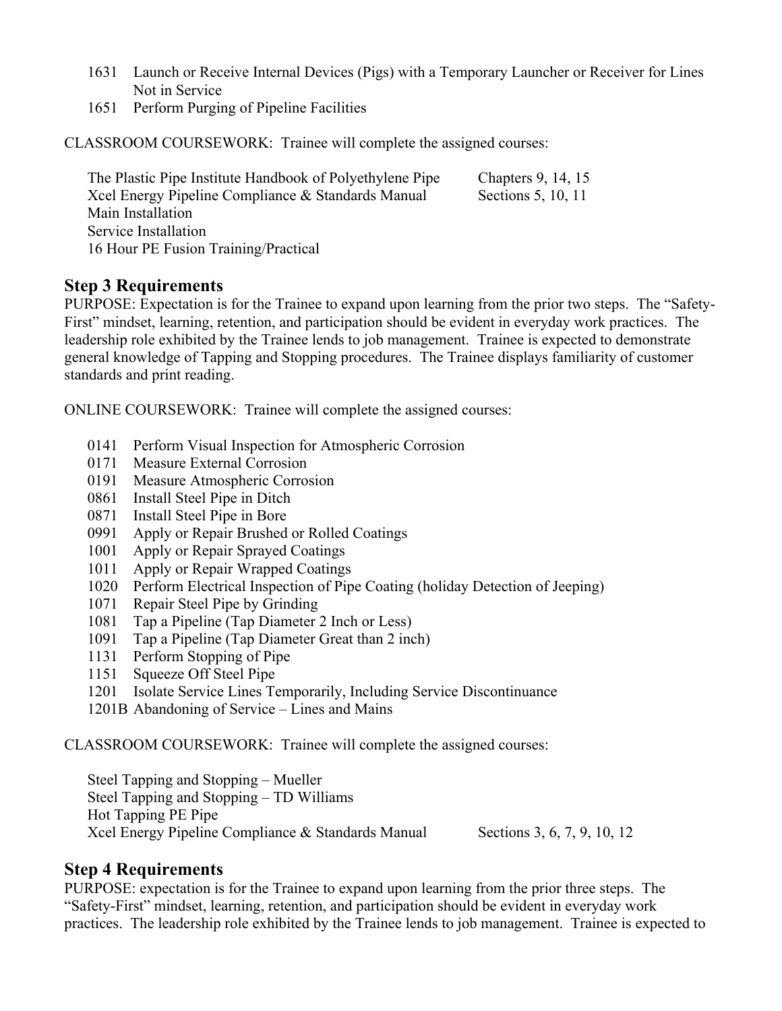- 1631 Launch or Receive Internal Devices (Pigs) with a Temporary Launcher or Receiver for Lines Not in Service
- 1651 Perform Purging of Pipeline Facilities

CLASSROOM COURSEWORK: Trainee will complete the assigned courses:

| The Plastic Pipe Institute Handbook of Polyethylene Pipe | Chapters 9, 14, 15 |
|----------------------------------------------------------|--------------------|
| Xcel Energy Pipeline Compliance & Standards Manual       | Sections 5, 10, 11 |
| Main Installation                                        |                    |
| Service Installation                                     |                    |
| 16 Hour PE Fusion Training/Practical                     |                    |

#### **Step 3 Requirements**

PURPOSE: Expectation is for the Trainee to expand upon learning from the prior two steps. The "Safety-First" mindset, learning, retention, and participation should be evident in everyday work practices. The leadership role exhibited by the Trainee lends to job management. Trainee is expected to demonstrate general knowledge of Tapping and Stopping procedures. The Trainee displays familiarity of customer standards and print reading.

ONLINE COURSEWORK: Trainee will complete the assigned courses:

- 0141 Perform Visual Inspection for Atmospheric Corrosion
- 0171 Measure External Corrosion
- 0191 Measure Atmospheric Corrosion
- 0861 Install Steel Pipe in Ditch
- 0871 Install Steel Pipe in Bore
- 0991 Apply or Repair Brushed or Rolled Coatings
- 1001 Apply or Repair Sprayed Coatings
- 1011 Apply or Repair Wrapped Coatings
- 1020 Perform Electrical Inspection of Pipe Coating (holiday Detection of Jeeping)
- 1071 Repair Steel Pipe by Grinding
- 1081 Tap a Pipeline (Tap Diameter 2 Inch or Less)
- 1091 Tap a Pipeline (Tap Diameter Great than 2 inch)
- 1131 Perform Stopping of Pipe
- 1151 Squeeze Off Steel Pipe
- 1201 Isolate Service Lines Temporarily, Including Service Discontinuance
- 1201B Abandoning of Service Lines and Mains

#### CLASSROOM COURSEWORK: Trainee will complete the assigned courses:

 Steel Tapping and Stopping – Mueller Steel Tapping and Stopping – TD Williams Hot Tapping PE Pipe Xcel Energy Pipeline Compliance & Standards Manual Sections 3, 6, 7, 9, 10, 12

# **Step 4 Requirements**

PURPOSE: expectation is for the Trainee to expand upon learning from the prior three steps. The "Safety-First" mindset, learning, retention, and participation should be evident in everyday work practices. The leadership role exhibited by the Trainee lends to job management. Trainee is expected to